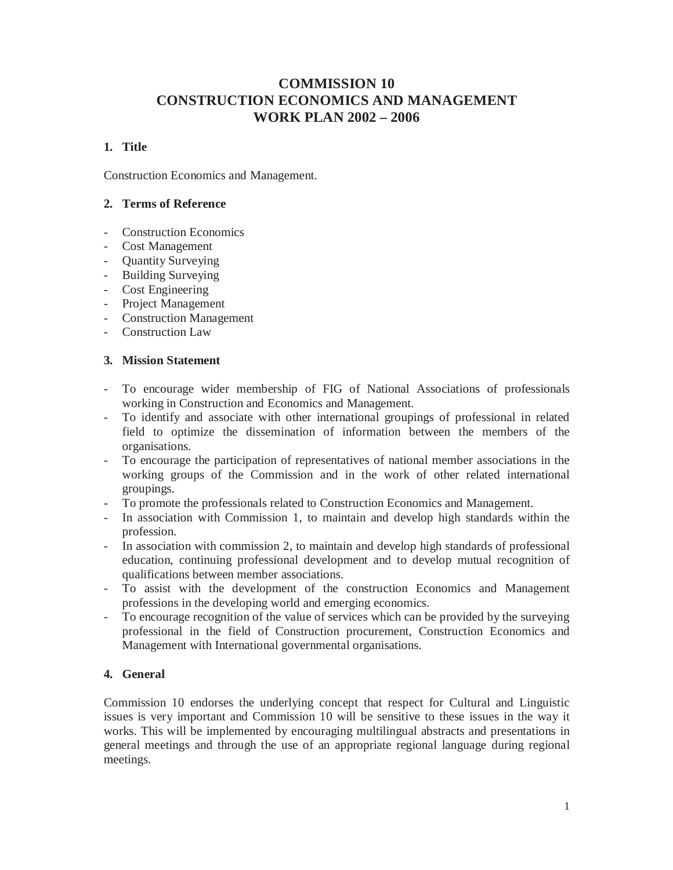# **COMMISSION 10 CONSTRUCTION ECONOMICS AND MANAGEMENT WORK PLAN 2002 – 2006**

# **1. Title**

Construction Economics and Management.

# **2. Terms of Reference**

- Construction Economics
- Cost Management
- Quantity Surveying
- Building Surveying
- Cost Engineering
- Project Management
- Construction Management
- Construction Law

### **3. Mission Statement**

- To encourage wider membership of FIG of National Associations of professionals working in Construction and Economics and Management.
- To identify and associate with other international groupings of professional in related field to optimize the dissemination of information between the members of the organisations.
- To encourage the participation of representatives of national member associations in the working groups of the Commission and in the work of other related international groupings.
- To promote the professionals related to Construction Economics and Management.
- In association with Commission 1, to maintain and develop high standards within the profession.
- In association with commission 2, to maintain and develop high standards of professional education, continuing professional development and to develop mutual recognition of qualifications between member associations.
- To assist with the development of the construction Economics and Management professions in the developing world and emerging economics.
- To encourage recognition of the value of services which can be provided by the surveying professional in the field of Construction procurement, Construction Economics and Management with International governmental organisations.

# **4. General**

Commission 10 endorses the underlying concept that respect for Cultural and Linguistic issues is very important and Commission 10 will be sensitive to these issues in the way it works. This will be implemented by encouraging multilingual abstracts and presentations in general meetings and through the use of an appropriate regional language during regional meetings.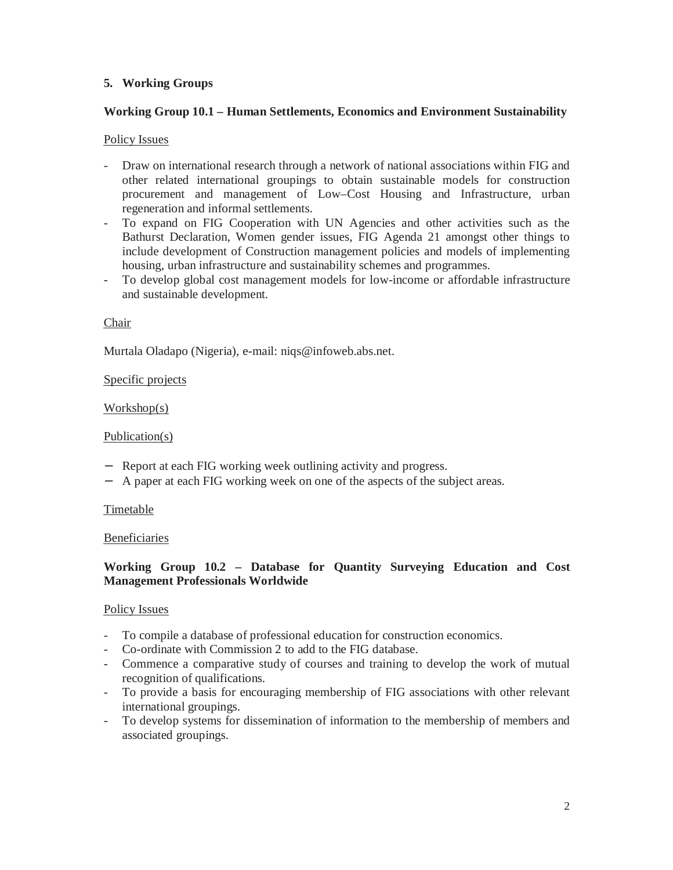# **5. Working Groups**

### **Working Group 10.1 – Human Settlements, Economics and Environment Sustainability**

### Policy Issues

- Draw on international research through a network of national associations within FIG and other related international groupings to obtain sustainable models for construction procurement and management of Low–Cost Housing and Infrastructure, urban regeneration and informal settlements.
- To expand on FIG Cooperation with UN Agencies and other activities such as the Bathurst Declaration, Women gender issues, FIG Agenda 21 amongst other things to include development of Construction management policies and models of implementing housing, urban infrastructure and sustainability schemes and programmes.
- To develop global cost management models for low-income or affordable infrastructure and sustainable development.

#### Chair

Murtala Oladapo (Nigeria), e-mail: niqs@infoweb.abs.net.

### Specific projects

#### Workshop(s)

#### Publication(s)

- − Report at each FIG working week outlining activity and progress.
- − A paper at each FIG working week on one of the aspects of the subject areas.

#### Timetable

#### Beneficiaries

### **Working Group 10.2 – Database for Quantity Surveying Education and Cost Management Professionals Worldwide**

#### Policy Issues

- To compile a database of professional education for construction economics.
- Co-ordinate with Commission 2 to add to the FIG database.
- Commence a comparative study of courses and training to develop the work of mutual recognition of qualifications.
- To provide a basis for encouraging membership of FIG associations with other relevant international groupings.
- To develop systems for dissemination of information to the membership of members and associated groupings.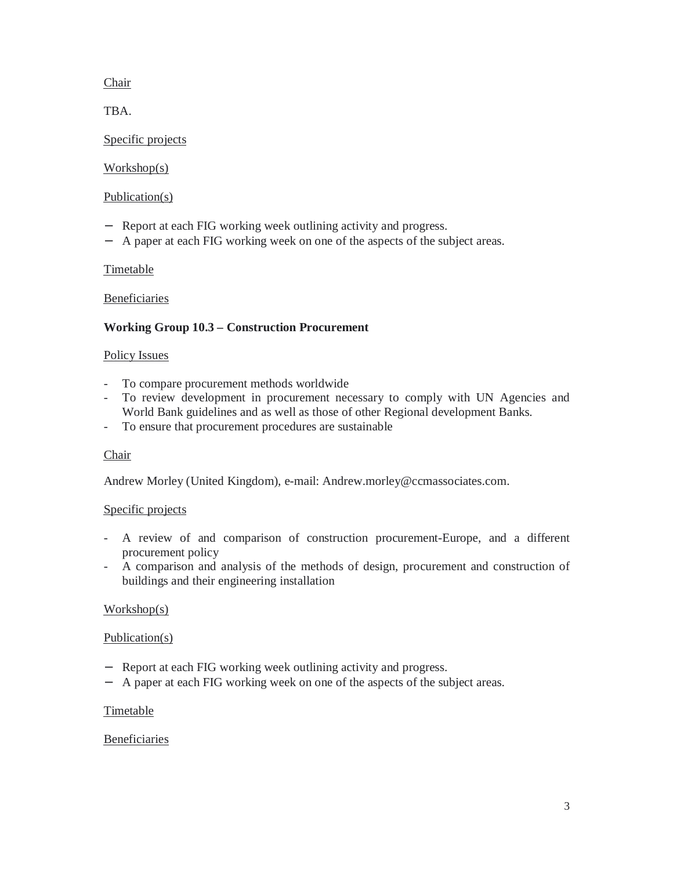# Chair

TBA.

### Specific projects

# Workshop(s)

### Publication(s)

- − Report at each FIG working week outlining activity and progress.
- − A paper at each FIG working week on one of the aspects of the subject areas.

# **Timetable**

Beneficiaries

# **Working Group 10.3 – Construction Procurement**

# Policy Issues

- To compare procurement methods worldwide
- To review development in procurement necessary to comply with UN Agencies and World Bank guidelines and as well as those of other Regional development Banks.
- To ensure that procurement procedures are sustainable

# Chair

Andrew Morley (United Kingdom), e-mail: Andrew.morley@ccmassociates.com.

# Specific projects

- A review of and comparison of construction procurement-Europe, and a different procurement policy
- A comparison and analysis of the methods of design, procurement and construction of buildings and their engineering installation

# Workshop(s)

# Publication(s)

- − Report at each FIG working week outlining activity and progress.
- − A paper at each FIG working week on one of the aspects of the subject areas.

#### Timetable

# **Beneficiaries**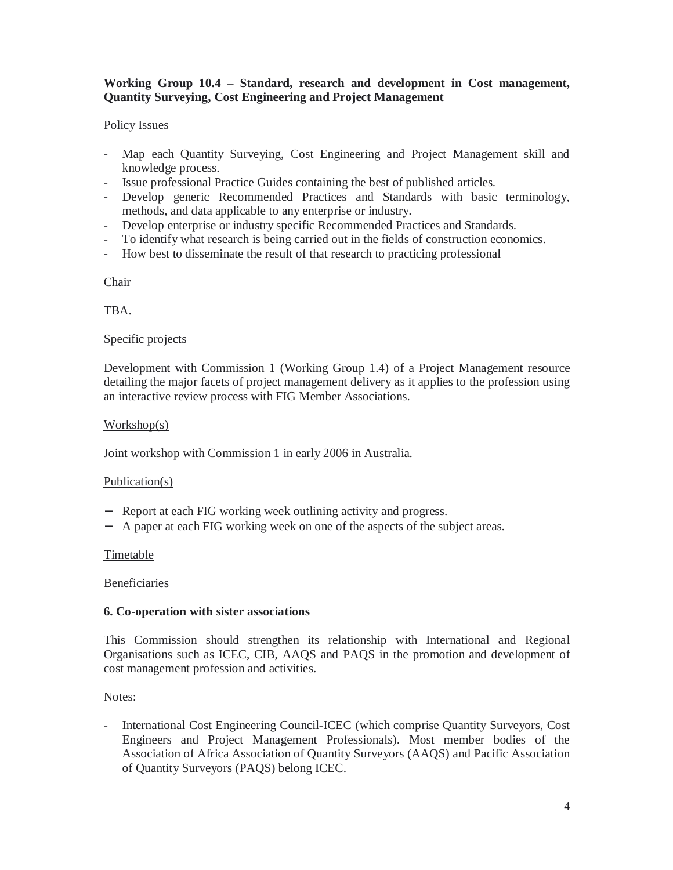### **Working Group 10.4 – Standard, research and development in Cost management, Quantity Surveying, Cost Engineering and Project Management**

### Policy Issues

- Map each Quantity Surveying, Cost Engineering and Project Management skill and knowledge process.
- Issue professional Practice Guides containing the best of published articles.
- Develop generic Recommended Practices and Standards with basic terminology, methods, and data applicable to any enterprise or industry.
- Develop enterprise or industry specific Recommended Practices and Standards.
- To identify what research is being carried out in the fields of construction economics.
- How best to disseminate the result of that research to practicing professional

**Chair** 

TBA.

#### Specific projects

Development with Commission 1 (Working Group 1.4) of a Project Management resource detailing the major facets of project management delivery as it applies to the profession using an interactive review process with FIG Member Associations.

### Workshop(s)

Joint workshop with Commission 1 in early 2006 in Australia.

#### Publication(s)

- − Report at each FIG working week outlining activity and progress.
- − A paper at each FIG working week on one of the aspects of the subject areas.

#### **Timetable**

Beneficiaries

#### **6. Co-operation with sister associations**

This Commission should strengthen its relationship with International and Regional Organisations such as ICEC, CIB, AAQS and PAQS in the promotion and development of cost management profession and activities.

Notes:

- International Cost Engineering Council-ICEC (which comprise Quantity Surveyors, Cost Engineers and Project Management Professionals). Most member bodies of the Association of Africa Association of Quantity Surveyors (AAQS) and Pacific Association of Quantity Surveyors (PAQS) belong ICEC.